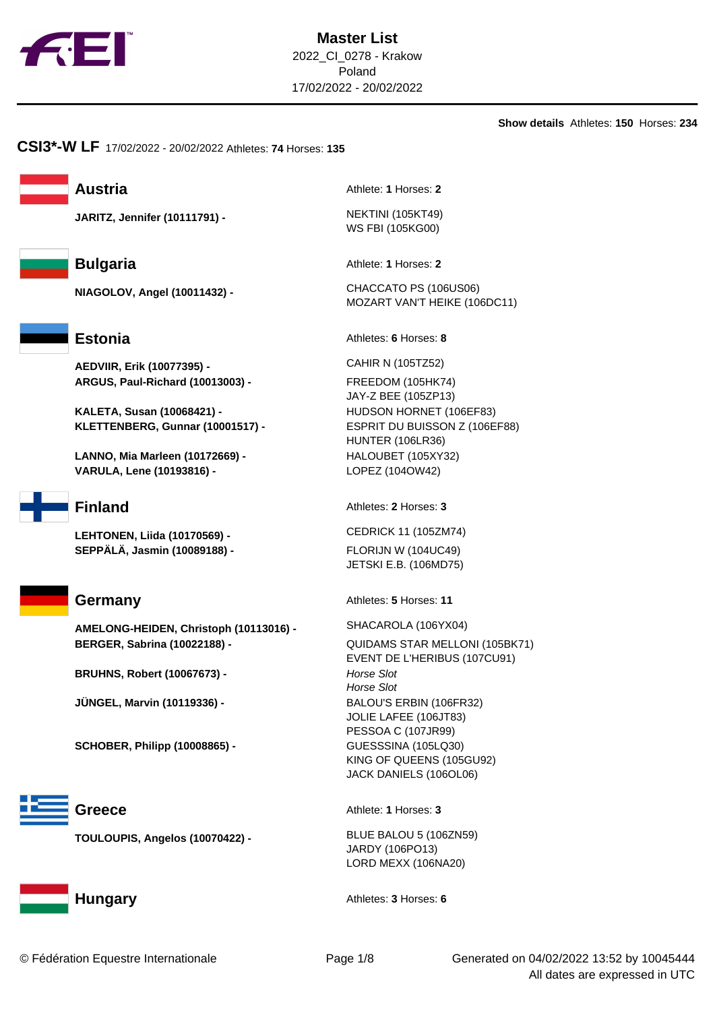

**Show details** Athletes: **150** Horses: **234**

**CSI3\*-W LF** 17/02/2022 - 20/02/2022 Athletes: **74** Horses: **135**

**JARITZ, Jennifer (10111791) -** NEKTINI (105KT49)





**AEDVIIR, Erik (10077395) -** CAHIR N (105TZ52) **ARGUS, Paul-Richard (10013003) -** FREEDOM (105HK74)

**KALETA, Susan (10068421) -** HUDSON HORNET (106EF83) **KLETTENBERG, Gunnar (10001517) -** ESPRIT DU BUISSON Z (106EF88)

**LANNO, Mia Marleen (10172669) -** HALOUBET (105XY32) **VARULA, Lene (10193816) -** LOPEZ (104OW42)



**LEHTONEN, Liida (10170569) -** CEDRICK 11 (105ZM74) **SEPPÄLÄ, Jasmin (10089188) -** FLORIJN W (104UC49)

**AMELONG-HEIDEN, Christoph (10113016) -** SHACAROLA (106YX04) **BERGER, Sabrina (10022188) -** QUIDAMS STAR MELLONI (105BK71)

**BRUHNS, Robert (10067673) -**  Horse Slot

**JÜNGEL, Marvin (10119336) -** BALOU'S ERBIN (106FR32)

**SCHOBER, Philipp (10008865) -** GUESSSINA (105LQ30)



**TOULOUPIS, Angelos (10070422) -** BLUE BALOU 5 (106ZN59)



**Austria** Athlete: **1** Horses: **2** 

WS FBI (105KG00)

**Bulgaria** Athlete: **1** Horses: **2** 

**NIAGOLOV, Angel (10011432) -** CHACCATO PS (106US06) MOZART VAN'T HEIKE (106DC11)

Estonia **Athletes: 6** Horses: 8

JAY-Z BEE (105ZP13) HUNTER (106LR36)

**Finland** Athletes: **2** Horses: **3** 

JETSKI E.B. (106MD75)

**Germany** Athletes: **5** Horses: **11** 

EVENT DE L'HERIBUS (107CU91) Horse Slot JOLIE LAFEE (106JT83) PESSOA C (107JR99) KING OF QUEENS (105GU92) JACK DANIELS (106OL06)

Greece Athlete: 1 Horses: 3

JARDY (106PO13) LORD MEXX (106NA20)

**Hungary Athletes: 3** Horses: 6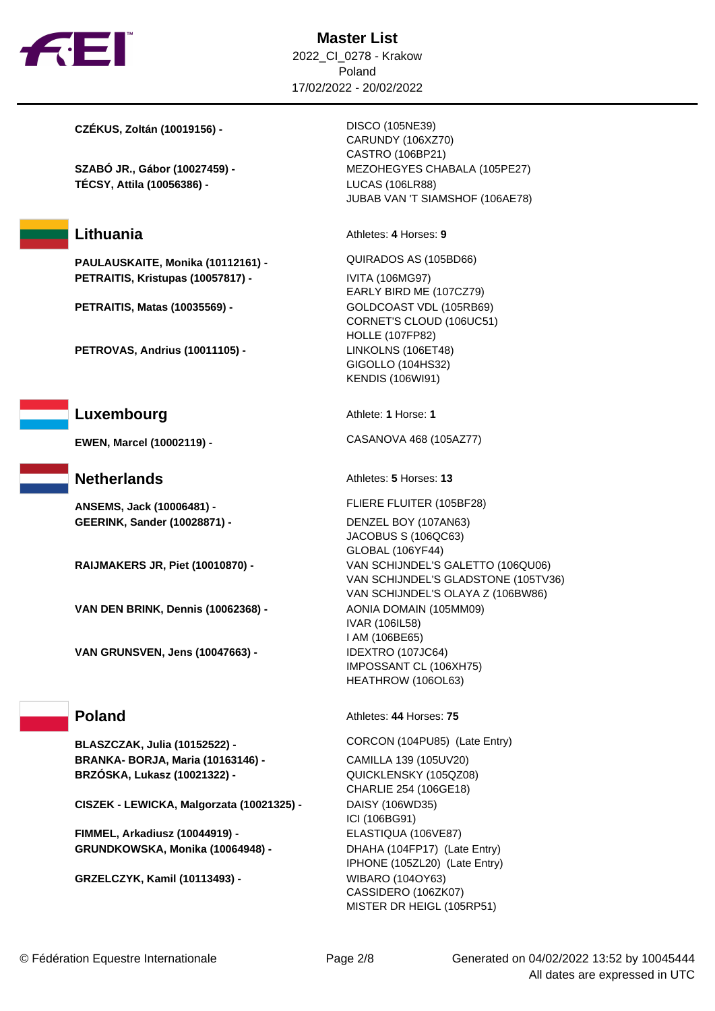

**Master List** 2022\_CI\_0278 - Krakow Poland 17/02/2022 - 20/02/2022

**CZÉKUS, Zoltán (10019156) -** DISCO (105NE39)

**TÉCSY, Attila (10056386) -** LUCAS (106LR88)

**PAULAUSKAITE, Monika (10112161) -** QUIRADOS AS (105BD66) **PETRAITIS, Kristupas (10057817) -** IVITA (106MG97)

**PETRAITIS, Matas (10035569) - <br>GOLDCOAST VDL (105RB69)** 

**PETROVAS, Andrius (10011105) -** LINKOLNS (106ET48)

**Luxembourg** Athlete: **1** Horse: **1** 

**ANSEMS, Jack (10006481) -** FLIERE FLUITER (105BF28) **GEERINK, Sander (10028871) -** DENZEL BOY (107AN63)

**VAN DEN BRINK, Dennis (10062368) -** AONIA DOMAIN (105MM09)

**VAN GRUNSVEN, Jens (10047663) -** IDEXTRO (107JC64)

**BRANKA- BORJA, Maria (10163146) -** CAMILLA 139 (105UV20) **BRZÓSKA, Lukasz (10021322) -** QUICKLENSKY (105QZ08)

**CISZEK - LEWICKA, Malgorzata (10021325) -** DAISY (106WD35)

**FIMMEL, Arkadiusz (10044919) -** ELASTIQUA (106VE87) **GRUNDKOWSKA, Monika (10064948) -** DHAHA (104FP17) (Late Entry)

**GRZELCZYK, Kamil (10113493) -** WIBARO (104OY63)

CARUNDY (106XZ70) CASTRO (106BP21) **SZABÓ JR., Gábor (10027459) -** MEZOHEGYES CHABALA (105PE27) JUBAB VAN 'T SIAMSHOF (106AE78)

**Lithuania** Athletes: 4 Horses: 9

EARLY BIRD ME (107CZ79) CORNET'S CLOUD (106UC51) HOLLE (107FP82) GIGOLLO (104HS32) KENDIS (106WI91)

**EWEN, Marcel (10002119) -** CASANOVA 468 (105AZ77)

**Netherlands** Athletes: **5** Horses: 13

JACOBUS S (106QC63) GLOBAL (106YF44) **RAIJMAKERS JR, Piet (10010870) -** VAN SCHIJNDEL'S GALETTO (106QU06) VAN SCHIJNDEL'S GLADSTONE (105TV36) VAN SCHIJNDEL'S OLAYA Z (106BW86) IVAR (106IL58) I AM (106BE65) IMPOSSANT CL (106XH75) HEATHROW (106OL63)

**Poland** Athletes: **44** Horses: **75** 

**BLASZCZAK, Julia (10152522) -** CORCON (104PU85) (Late Entry) CHARLIE 254 (106GE18) ICI (106BG91) IPHONE (105ZL20) (Late Entry) CASSIDERO (106ZK07) MISTER DR HEIGL (105RP51)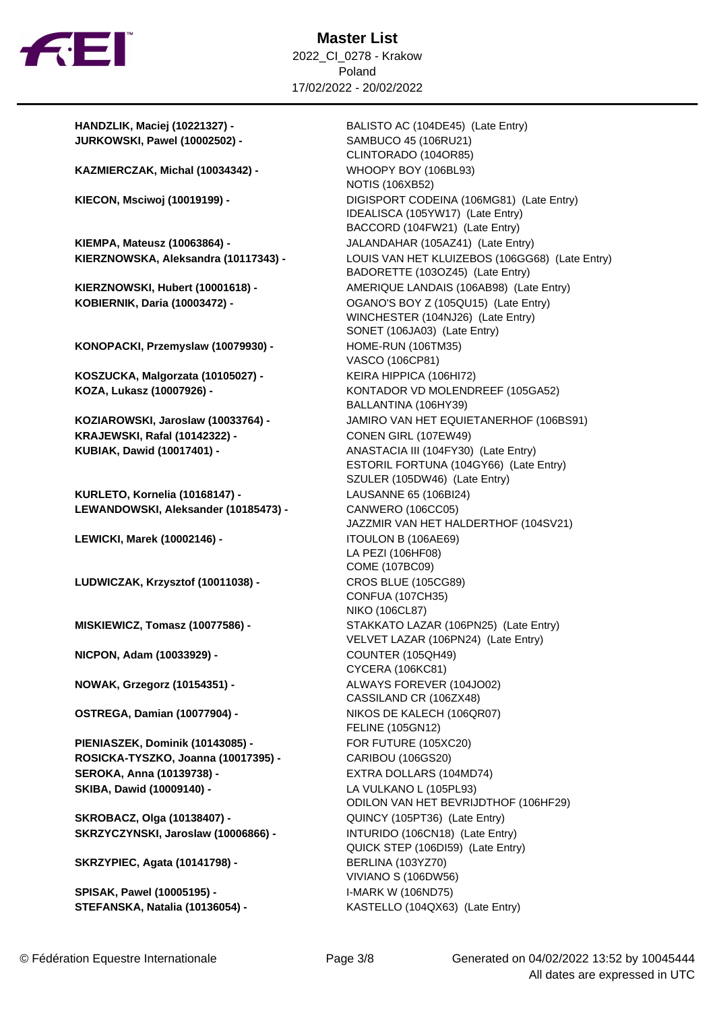

**JURKOWSKI, Pawel (10002502) -** SAMBUCO 45 (106RU21)

**KAZMIERCZAK, Michal (10034342) -** WHOOPY BOY (106BL93)

**KIEMPA, Mateusz (10063864) -** JALANDAHAR (105AZ41) (Late Entry)

**KONOPACKI, Przemyslaw (10079930) -** HOME-RUN (106TM35)

**KOSZUCKA, Malgorzata (10105027) -** KEIRA HIPPICA (106HI72)

**KRAJEWSKI, Rafal (10142322) -** CONEN GIRL (107EW49) **KUBIAK, Dawid (10017401) -** ANASTACIA III (104FY30) (Late Entry)

**KURLETO, Kornelia (10168147) -** LAUSANNE 65 (106BI24) **LEWANDOWSKI, Aleksander (10185473) -** CANWERO (106CC05)

**LEWICKI, Marek (10002146) -** ITOULON B (106AE69)

**LUDWICZAK, Krzysztof (10011038) -** CROS BLUE (105CG89)

**NICPON, Adam (10033929) -** COUNTER (105QH49)

**NOWAK, Grzegorz (10154351) -** ALWAYS FOREVER (104JO02)

**OSTREGA, Damian (10077904) -** NIKOS DE KALECH (106QR07)

**PIENIASZEK, Dominik (10143085) -** FOR FUTURE (105XC20) **ROSICKA-TYSZKO, Joanna (10017395) -** CARIBOU (106GS20) **SEROKA, Anna (10139738) -** EXTRA DOLLARS (104MD74) **SKIBA, Dawid (10009140) -** LA VULKANO L (105PL93)

**SKROBACZ, Olga (10138407) -** QUINCY (105PT36) (Late Entry) **SKRZYCZYNSKI, Jaroslaw (10006866) -** INTURIDO (106CN18) (Late Entry)

**SKRZYPIEC, Agata (10141798) -** BERLINA (103YZ70)

**SPISAK, Pawel (10005195) -** I-MARK W (106ND75) **STEFANSKA, Natalia (10136054) -** KASTELLO (104QX63) (Late Entry)

**HANDZLIK, Maciej (10221327) -** BALISTO AC (104DE45) (Late Entry) CLINTORADO (104OR85) NOTIS (106XB52) **KIECON, Msciwoj (10019199) -** DIGISPORT CODEINA (106MG81) (Late Entry) IDEALISCA (105YW17) (Late Entry) BACCORD (104FW21) (Late Entry) **KIERZNOWSKA, Aleksandra (10117343) -** LOUIS VAN HET KLUIZEBOS (106GG68) (Late Entry) BADORETTE (103OZ45) (Late Entry) **KIERZNOWSKI, Hubert (10001618) -** AMERIQUE LANDAIS (106AB98) (Late Entry) **KOBIERNIK, Daria (10003472) -** OGANO'S BOY Z (105QU15) (Late Entry) WINCHESTER (104NJ26) (Late Entry) SONET (106JA03) (Late Entry) VASCO (106CP81) KOZA, Lukasz (10007926) - **KONTADOR VD MOLENDREEF** (105GA52) BALLANTINA (106HY39) **KOZIAROWSKI, Jaroslaw (10033764) -** JAMIRO VAN HET EQUIETANERHOF (106BS91) ESTORIL FORTUNA (104GY66) (Late Entry) SZULER (105DW46) (Late Entry) JAZZMIR VAN HET HALDERTHOF (104SV21) LA PEZI (106HF08) COME (107BC09) CONFUA (107CH35) NIKO (106CL87) **MISKIEWICZ, Tomasz (10077586) -** STAKKATO LAZAR (106PN25) (Late Entry) VELVET LAZAR (106PN24) (Late Entry) CYCERA (106KC81) CASSILAND CR (106ZX48) FELINE (105GN12) ODILON VAN HET BEVRIJDTHOF (106HF29) QUICK STEP (106DI59) (Late Entry) VIVIANO S (106DW56)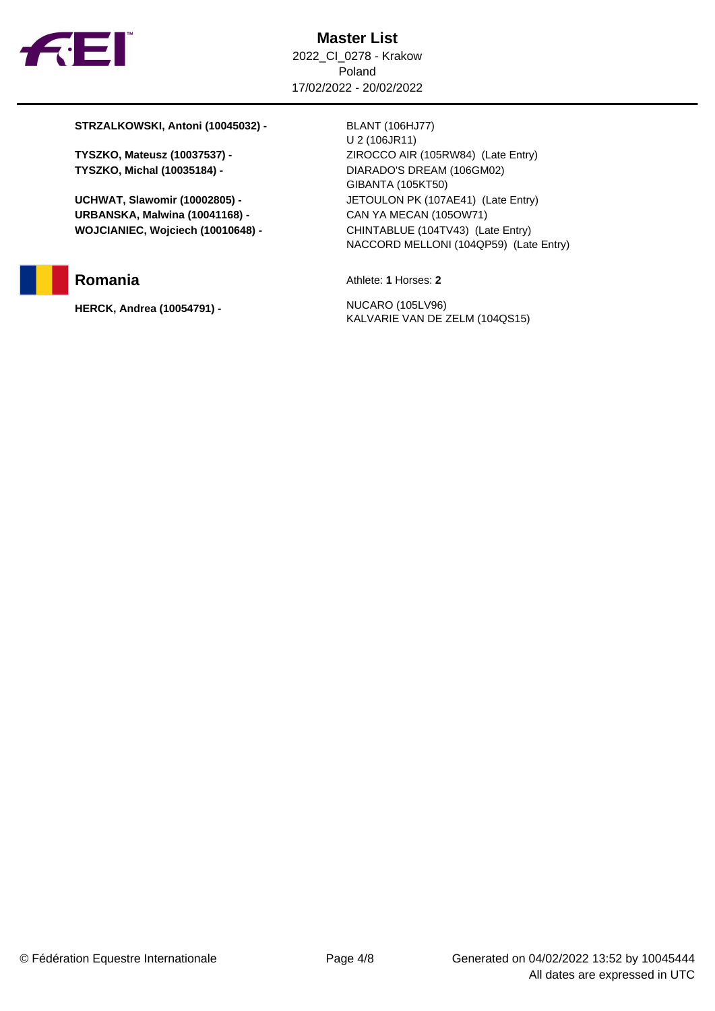

**STRZALKOWSKI, Antoni (10045032) -** BLANT (106HJ77)

**URBANSKA, Malwina (10041168) -** CAN YA MECAN (105OW71) **WOJCIANIEC, Wojciech (10010648) -** CHINTABLUE (104TV43) (Late Entry)

**HERCK, Andrea (10054791) -** NUCARO (105LV96)

U 2 (106JR11) **TYSZKO, Mateusz (10037537) -** ZIROCCO AIR (105RW84) (Late Entry) **TYSZKO, Michal (10035184) -** DIARADO'S DREAM (106GM02) GIBANTA (105KT50) **UCHWAT, Slawomir (10002805) -** JETOULON PK (107AE41) (Late Entry) NACCORD MELLONI (104QP59) (Late Entry)

**Romania** Athlete: **1** Horses: **2** 

KALVARIE VAN DE ZELM (104QS15)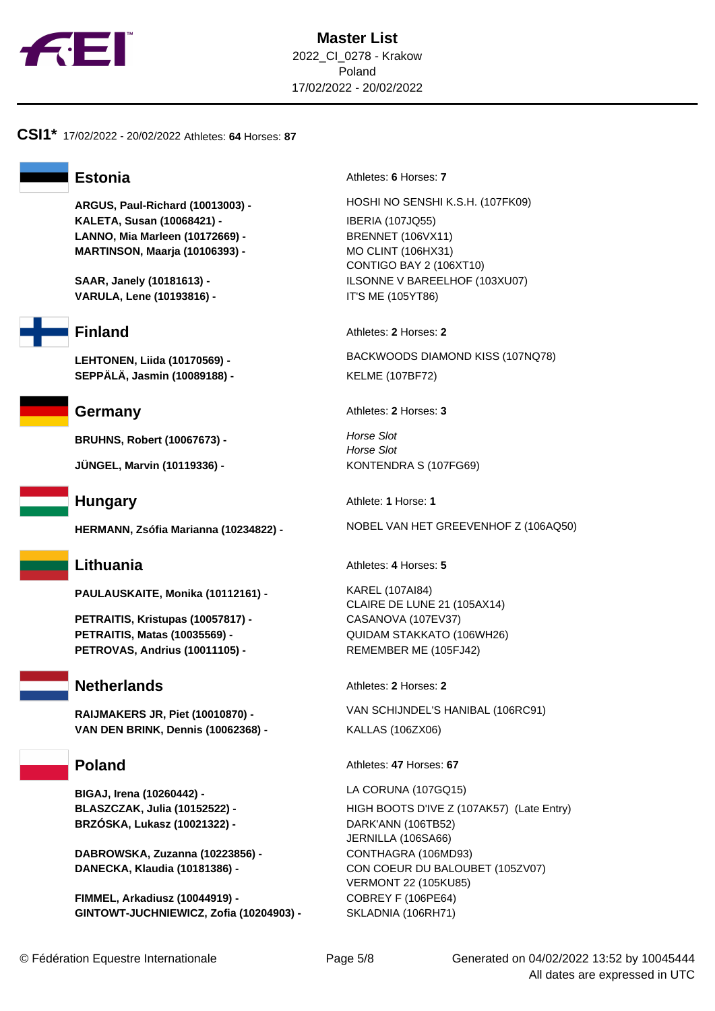

## **CSI1\*** 17/02/2022 - 20/02/2022 Athletes: **64** Horses: **87**

**KALETA, Susan (10068421) -** IBERIA (107JQ55) **LANNO, Mia Marleen (10172669) -** BRENNET (106VX11) **MARTINSON, Maarja (10106393) -** MO CLINT (106HX31)

**VARULA, Lene (10193816) -** IT'S ME (105YT86)



**SEPPÄLÄ, Jasmin (10089188) -** KELME (107BF72)

**BRUHNS, Robert (10067673) - <br>Horse Slot** 

**JÜNGEL, Marvin (10119336) -** KONTENDRA S (107FG69)

**PAULAUSKAITE, Monika (10112161) -** KAREL (107AI84)

**PETRAITIS, Kristupas (10057817) -** CASANOVA (107EV37) **PETRAITIS, Matas (10035569) -** QUIDAM STAKKATO (106WH26) **PETROVAS, Andrius (10011105) -** REMEMBER ME (105FJ42)

**VAN DEN BRINK, Dennis (10062368) -** KALLAS (106ZX06)

**BIGAJ, Irena (10260442) -** LA CORUNA (107GQ15) **BRZÓSKA, Lukasz (10021322) -** DARK'ANN (106TB52)

**DABROWSKA, Zuzanna (10223856) -** CONTHAGRA (106MD93)

**FIMMEL, Arkadiusz (10044919) -** COBREY F (106PE64) **GINTOWT-JUCHNIEWICZ, Zofia (10204903) -** SKLADNIA (106RH71)

**Estonia** Athletes: **6** Horses: **7** 

**ARGUS, Paul-Richard (10013003) -** HOSHI NO SENSHI K.S.H. (107FK09) CONTIGO BAY 2 (106XT10) **SAAR, Janely (10181613) -** ILSONNE V BAREELHOF (103XU07)

**Finland** Athletes: **2** Horses: **2** 

**LEHTONEN, Liida (10170569) -** BACKWOODS DIAMOND KISS (107NQ78)

**Germany** Athletes: 2 Horses: 3

Horse Slot

**Hungary** Athlete: **1** Horse: **1** 

**HERMANN, Zsófia Marianna (10234822) -** NOBEL VAN HET GREEVENHOF Z (106AQ50)

**Lithuania** Athletes: 4 Horses: 5

CLAIRE DE LUNE 21 (105AX14)

**Netherlands** Athletes: 2 Horses: 2

**RAIJMAKERS JR, Piet (10010870) -** VAN SCHIJNDEL'S HANIBAL (106RC91)

**Poland** Athletes: 47 Horses: 67

**BLASZCZAK, Julia (10152522) -** HIGH BOOTS D'IVE Z (107AK57) (Late Entry) JERNILLA (106SA66)

**DANECKA, Klaudia (10181386) -** CON COEUR DU BALOUBET (105ZV07) VERMONT 22 (105KU85)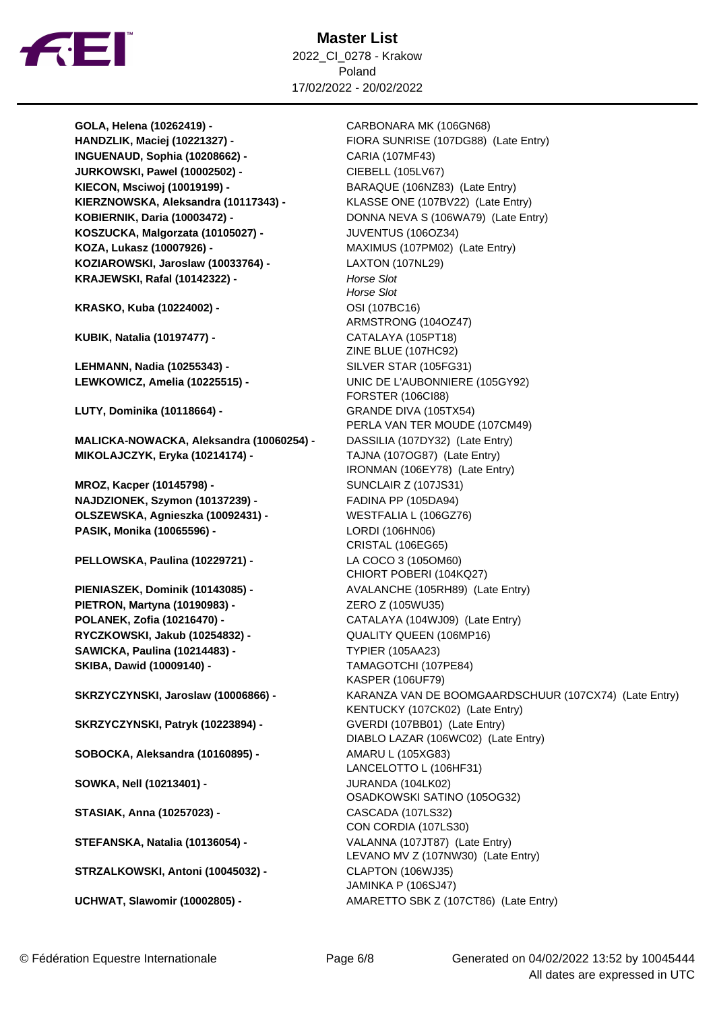

**Master List** 2022\_CI\_0278 - Krakow Poland 17/02/2022 - 20/02/2022

**GOLA, Helena (10262419) -** CARBONARA MK (106GN68) **INGUENAUD, Sophia (10208662) -** CARIA (107MF43) **JURKOWSKI, Pawel (10002502) -** CIEBELL (105LV67) **KIECON, Msciwoj (10019199) -** BARAQUE (106NZ83) (Late Entry) **KIERZNOWSKA, Aleksandra (10117343) -** KLASSE ONE (107BV22) (Late Entry) **KOSZUCKA, Malgorzata (10105027) -** JUVENTUS (106OZ34) **KOZA, Lukasz (10007926) -** MAXIMUS (107PM02) (Late Entry) **KOZIAROWSKI, Jaroslaw (10033764) -** LAXTON (107NL29) KRAJEWSKI, Rafal (10142322) - **Horse Slot** 

**KRASKO, Kuba (10224002) -** OSI (107BC16)

**KUBIK, Natalia (10197477) -** CATALAYA (105PT18)

**LEHMANN, Nadia (10255343) -** SILVER STAR (105FG31)

**LUTY, Dominika (10118664) -** GRANDE DIVA (105TX54)

**MALICKA-NOWACKA, Aleksandra (10060254) -** DASSILIA (107DY32) (Late Entry) **MIKOLAJCZYK, Eryka (10214174) -** TAJNA (107OG87) (Late Entry)

**MROZ, Kacper (10145798) -** SUNCLAIR Z (107JS31) **NAJDZIONEK, Szymon (10137239) -** FADINA PP (105DA94) **OLSZEWSKA, Agnieszka (10092431) -** WESTFALIA L (106GZ76) **PASIK, Monika (10065596) -** LORDI (106HN06)

**PELLOWSKA, Paulina (10229721) -** LA COCO 3 (105OM60)

**PIETRON, Martyna (10190983) -** ZERO Z (105WU35) **RYCZKOWSKI, Jakub (10254832) -** QUALITY QUEEN (106MP16) **SAWICKA, Paulina (10214483) -** TYPIER (105AA23) **SKIBA, Dawid (10009140) -** TAMAGOTCHI (107PE84)

**SKRZYCZYNSKI, Patryk (10223894) -** GVERDI (107BB01) (Late Entry)

**SOBOCKA, Aleksandra (10160895) -** AMARU L (105XG83)

**SOWKA, Nell (10213401) -** JURANDA (104LK02)

**STASIAK, Anna (10257023) -** CASCADA (107LS32)

**STRZALKOWSKI, Antoni (10045032) -** CLAPTON (106WJ35)

**HANDZLIK, Maciej (10221327) -** FIORA SUNRISE (107DG88) (Late Entry) **KOBIERNIK, Daria (10003472) -** DONNA NEVA S (106WA79) (Late Entry) Horse Slot ARMSTRONG (104OZ47) ZINE BLUE (107HC92) **LEWKOWICZ, Amelia (10225515) -** UNIC DE L'AUBONNIERE (105GY92) FORSTER (106CI88) PERLA VAN TER MOUDE (107CM49) IRONMAN (106EY78) (Late Entry) CRISTAL (106EG65) CHIORT POBERI (104KQ27) **PIENIASZEK, Dominik (10143085) -** AVALANCHE (105RH89) (Late Entry) **POLANEK, Zofia (10216470) -** CATALAYA (104WJ09) (Late Entry) KASPER (106UF79) **SKRZYCZYNSKI, Jaroslaw (10006866) -** KARANZA VAN DE BOOMGAARDSCHUUR (107CX74) (Late Entry) KENTUCKY (107CK02) (Late Entry) DIABLO LAZAR (106WC02) (Late Entry) LANCELOTTO L (106HF31) OSADKOWSKI SATINO (105OG32) CON CORDIA (107LS30) **STEFANSKA, Natalia (10136054) -** VALANNA (107JT87) (Late Entry) LEVANO MV Z (107NW30) (Late Entry) JAMINKA P (106SJ47) **UCHWAT, Slawomir (10002805) -** AMARETTO SBK Z (107CT86) (Late Entry)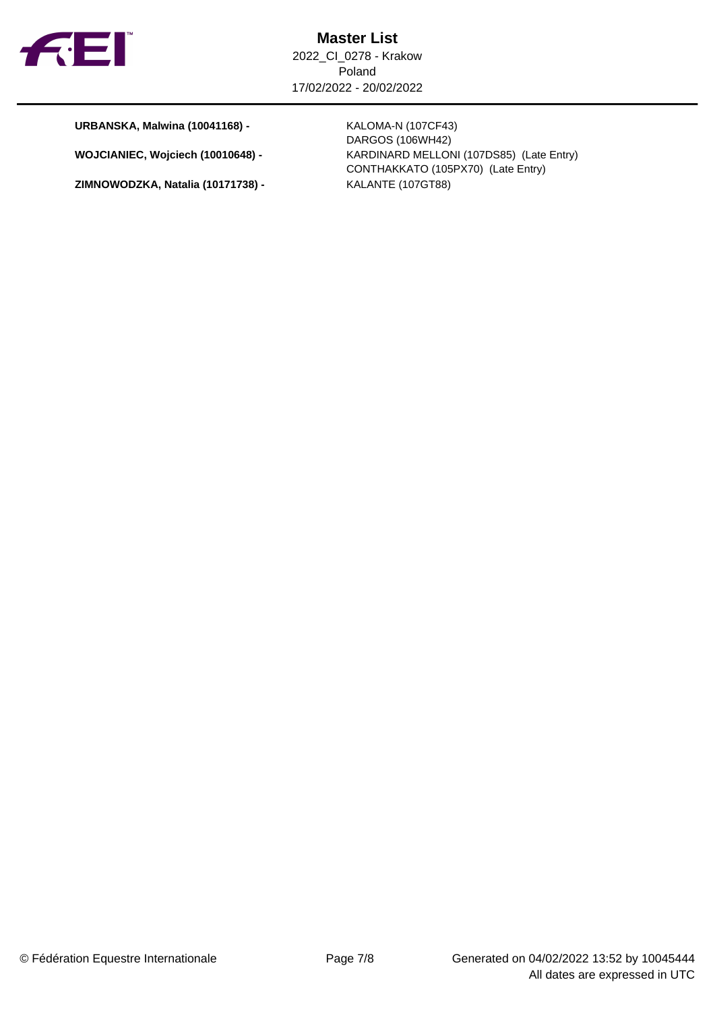

**URBANSKA, Malwina (10041168) -** KALOMA-N (107CF43)

**ZIMNOWODZKA, Natalia (10171738) -** KALANTE (107GT88)

DARGOS (106WH42) **WOJCIANIEC, Wojciech (10010648) -** KARDINARD MELLONI (107DS85) (Late Entry) CONTHAKKATO (105PX70) (Late Entry)